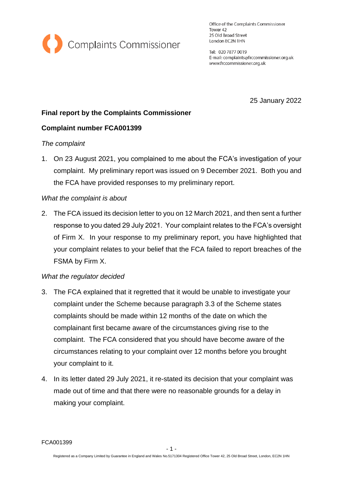

Office of the Complaints Commissioner Tower 42 25 Old Broad Street London EC2N 1HN

Tel: 020 7877 0019 E-mail: complaints@frccommissioner.org.uk www.frccommissioner.org.uk

25 January 2022

# **Final report by the Complaints Commissioner**

## **Complaint number FCA001399**

### *The complaint*

1. On 23 August 2021, you complained to me about the FCA's investigation of your complaint. My preliminary report was issued on 9 December 2021. Both you and the FCA have provided responses to my preliminary report.

### *What the complaint is about*

2. The FCA issued its decision letter to you on 12 March 2021, and then sent a further response to you dated 29 July 2021. Your complaint relates to the FCA's oversight of Firm X. In your response to my preliminary report, you have highlighted that your complaint relates to your belief that the FCA failed to report breaches of the FSMA by Firm X.

### *What the regulator decided*

- 3. The FCA explained that it regretted that it would be unable to investigate your complaint under the Scheme because paragraph 3.3 of the Scheme states complaints should be made within 12 months of the date on which the complainant first became aware of the circumstances giving rise to the complaint. The FCA considered that you should have become aware of the circumstances relating to your complaint over 12 months before you brought your complaint to it.
- 4. In its letter dated 29 July 2021, it re-stated its decision that your complaint was made out of time and that there were no reasonable grounds for a delay in making your complaint.

FCA001399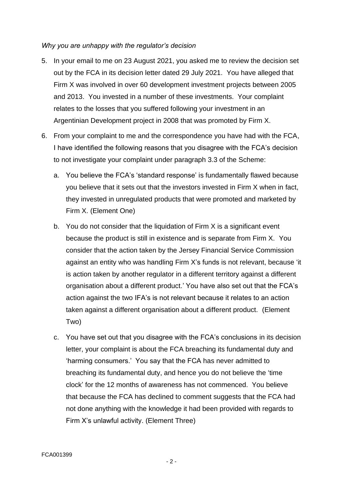### *Why you are unhappy with the regulator's decision*

- 5. In your email to me on 23 August 2021, you asked me to review the decision set out by the FCA in its decision letter dated 29 July 2021. You have alleged that Firm X was involved in over 60 development investment projects between 2005 and 2013. You invested in a number of these investments. Your complaint relates to the losses that you suffered following your investment in an Argentinian Development project in 2008 that was promoted by Firm X.
- 6. From your complaint to me and the correspondence you have had with the FCA, I have identified the following reasons that you disagree with the FCA's decision to not investigate your complaint under paragraph 3.3 of the Scheme:
	- a. You believe the FCA's 'standard response' is fundamentally flawed because you believe that it sets out that the investors invested in Firm X when in fact, they invested in unregulated products that were promoted and marketed by Firm X. (Element One)
	- b. You do not consider that the liquidation of Firm X is a significant event because the product is still in existence and is separate from Firm X. You consider that the action taken by the Jersey Financial Service Commission against an entity who was handling Firm X's funds is not relevant, because 'it is action taken by another regulator in a different territory against a different organisation about a different product.' You have also set out that the FCA's action against the two IFA's is not relevant because it relates to an action taken against a different organisation about a different product. (Element Two)
	- c. You have set out that you disagree with the FCA's conclusions in its decision letter, your complaint is about the FCA breaching its fundamental duty and 'harming consumers.' You say that the FCA has never admitted to breaching its fundamental duty, and hence you do not believe the 'time clock' for the 12 months of awareness has not commenced. You believe that because the FCA has declined to comment suggests that the FCA had not done anything with the knowledge it had been provided with regards to Firm X's unlawful activity. (Element Three)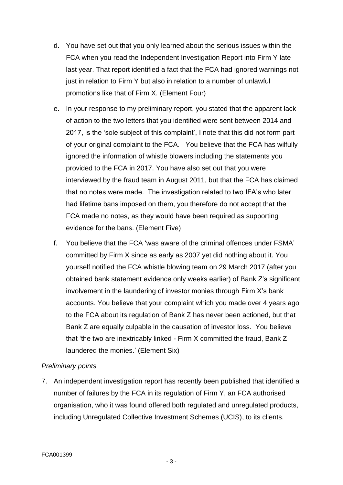- d. You have set out that you only learned about the serious issues within the FCA when you read the Independent Investigation Report into Firm Y late last year. That report identified a fact that the FCA had ignored warnings not just in relation to Firm Y but also in relation to a number of unlawful promotions like that of Firm X. (Element Four)
- e. In your response to my preliminary report, you stated that the apparent lack of action to the two letters that you identified were sent between 2014 and 2017, is the 'sole subject of this complaint', I note that this did not form part of your original complaint to the FCA. You believe that the FCA has wilfully ignored the information of whistle blowers including the statements you provided to the FCA in 2017. You have also set out that you were interviewed by the fraud team in August 2011, but that the FCA has claimed that no notes were made. The investigation related to two IFA's who later had lifetime bans imposed on them, you therefore do not accept that the FCA made no notes, as they would have been required as supporting evidence for the bans. (Element Five)
- f. You believe that the FCA 'was aware of the criminal offences under FSMA' committed by Firm X since as early as 2007 yet did nothing about it. You yourself notified the FCA whistle blowing team on 29 March 2017 (after you obtained bank statement evidence only weeks earlier) of Bank Z's significant involvement in the laundering of investor monies through Firm X's bank accounts. You believe that your complaint which you made over 4 years ago to the FCA about its regulation of Bank Z has never been actioned, but that Bank Z are equally culpable in the causation of investor loss. You believe that 'the two are inextricably linked - Firm X committed the fraud, Bank Z laundered the monies.' (Element Six)

### *Preliminary points*

7. An independent investigation report has recently been published that identified a number of failures by the FCA in its regulation of Firm Y, an FCA authorised organisation, who it was found offered both regulated and unregulated products, including Unregulated Collective Investment Schemes (UCIS), to its clients.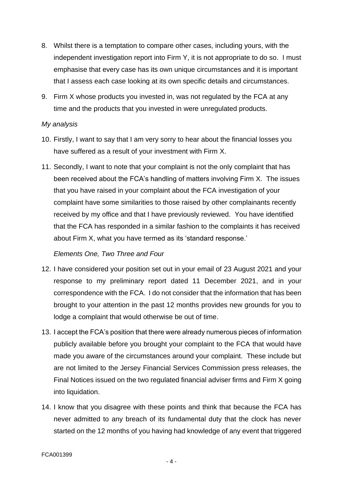- 8. Whilst there is a temptation to compare other cases, including yours, with the independent investigation report into Firm Y, it is not appropriate to do so. I must emphasise that every case has its own unique circumstances and it is important that I assess each case looking at its own specific details and circumstances.
- 9. Firm X whose products you invested in, was not regulated by the FCA at any time and the products that you invested in were unregulated products.

### *My analysis*

- 10. Firstly, I want to say that I am very sorry to hear about the financial losses you have suffered as a result of your investment with Firm X.
- 11. Secondly, I want to note that your complaint is not the only complaint that has been received about the FCA's handling of matters involving Firm X. The issues that you have raised in your complaint about the FCA investigation of your complaint have some similarities to those raised by other complainants recently received by my office and that I have previously reviewed. You have identified that the FCA has responded in a similar fashion to the complaints it has received about Firm X, what you have termed as its 'standard response.'

### *Elements One, Two Three and Four*

- 12. I have considered your position set out in your email of 23 August 2021 and your response to my preliminary report dated 11 December 2021, and in your correspondence with the FCA. I do not consider that the information that has been brought to your attention in the past 12 months provides new grounds for you to lodge a complaint that would otherwise be out of time.
- 13. I accept the FCA's position that there were already numerous pieces of information publicly available before you brought your complaint to the FCA that would have made you aware of the circumstances around your complaint. These include but are not limited to the Jersey Financial Services Commission press releases, the Final Notices issued on the two regulated financial adviser firms and Firm X going into liquidation.
- 14. I know that you disagree with these points and think that because the FCA has never admitted to any breach of its fundamental duty that the clock has never started on the 12 months of you having had knowledge of any event that triggered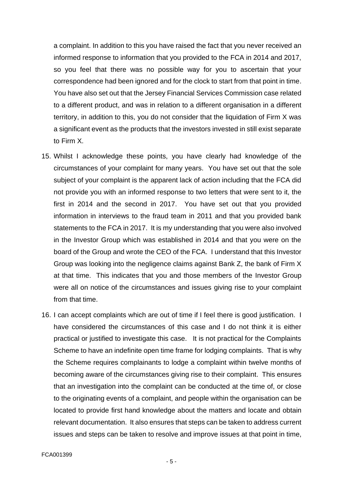a complaint. In addition to this you have raised the fact that you never received an informed response to information that you provided to the FCA in 2014 and 2017, so you feel that there was no possible way for you to ascertain that your correspondence had been ignored and for the clock to start from that point in time. You have also set out that the Jersey Financial Services Commission case related to a different product, and was in relation to a different organisation in a different territory, in addition to this, you do not consider that the liquidation of Firm X was a significant event as the products that the investors invested in still exist separate to Firm X.

- 15. Whilst I acknowledge these points, you have clearly had knowledge of the circumstances of your complaint for many years. You have set out that the sole subject of your complaint is the apparent lack of action including that the FCA did not provide you with an informed response to two letters that were sent to it, the first in 2014 and the second in 2017. You have set out that you provided information in interviews to the fraud team in 2011 and that you provided bank statements to the FCA in 2017. It is my understanding that you were also involved in the Investor Group which was established in 2014 and that you were on the board of the Group and wrote the CEO of the FCA. I understand that this Investor Group was looking into the negligence claims against Bank Z, the bank of Firm X at that time. This indicates that you and those members of the Investor Group were all on notice of the circumstances and issues giving rise to your complaint from that time.
- 16. I can accept complaints which are out of time if I feel there is good justification. I have considered the circumstances of this case and I do not think it is either practical or justified to investigate this case. It is not practical for the Complaints Scheme to have an indefinite open time frame for lodging complaints. That is why the Scheme requires complainants to lodge a complaint within twelve months of becoming aware of the circumstances giving rise to their complaint. This ensures that an investigation into the complaint can be conducted at the time of, or close to the originating events of a complaint, and people within the organisation can be located to provide first hand knowledge about the matters and locate and obtain relevant documentation. It also ensures that steps can be taken to address current issues and steps can be taken to resolve and improve issues at that point in time,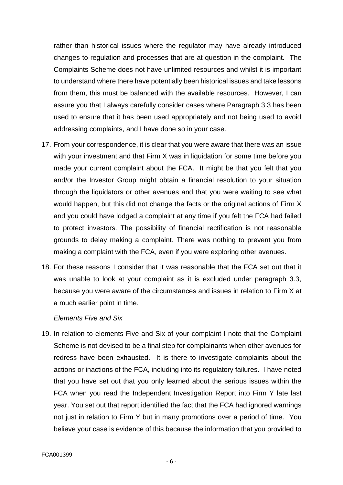rather than historical issues where the regulator may have already introduced changes to regulation and processes that are at question in the complaint. The Complaints Scheme does not have unlimited resources and whilst it is important to understand where there have potentially been historical issues and take lessons from them, this must be balanced with the available resources. However, I can assure you that I always carefully consider cases where Paragraph 3.3 has been used to ensure that it has been used appropriately and not being used to avoid addressing complaints, and I have done so in your case.

- 17. From your correspondence, it is clear that you were aware that there was an issue with your investment and that Firm X was in liquidation for some time before you made your current complaint about the FCA. It might be that you felt that you and/or the Investor Group might obtain a financial resolution to your situation through the liquidators or other avenues and that you were waiting to see what would happen, but this did not change the facts or the original actions of Firm X and you could have lodged a complaint at any time if you felt the FCA had failed to protect investors. The possibility of financial rectification is not reasonable grounds to delay making a complaint. There was nothing to prevent you from making a complaint with the FCA, even if you were exploring other avenues.
- 18. For these reasons I consider that it was reasonable that the FCA set out that it was unable to look at your complaint as it is excluded under paragraph 3.3, because you were aware of the circumstances and issues in relation to Firm X at a much earlier point in time.

#### *Elements Five and Six*

19. In relation to elements Five and Six of your complaint I note that the Complaint Scheme is not devised to be a final step for complainants when other avenues for redress have been exhausted. It is there to investigate complaints about the actions or inactions of the FCA, including into its regulatory failures. I have noted that you have set out that you only learned about the serious issues within the FCA when you read the Independent Investigation Report into Firm Y late last year. You set out that report identified the fact that the FCA had ignored warnings not just in relation to Firm Y but in many promotions over a period of time. You believe your case is evidence of this because the information that you provided to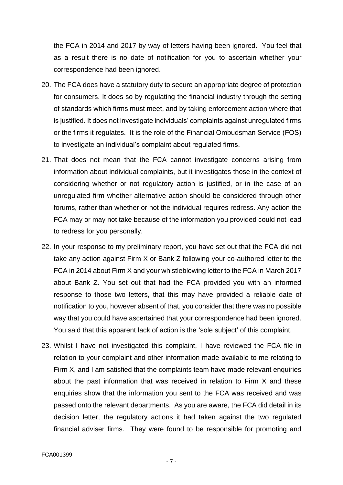the FCA in 2014 and 2017 by way of letters having been ignored. You feel that as a result there is no date of notification for you to ascertain whether your correspondence had been ignored.

- 20. The FCA does have a statutory duty to secure an appropriate degree of protection for consumers. It does so by regulating the financial industry through the setting of standards which firms must meet, and by taking enforcement action where that is justified. It does not investigate individuals' complaints against unregulated firms or the firms it regulates. It is the role of the Financial Ombudsman Service (FOS) to investigate an individual's complaint about regulated firms.
- 21. That does not mean that the FCA cannot investigate concerns arising from information about individual complaints, but it investigates those in the context of considering whether or not regulatory action is justified, or in the case of an unregulated firm whether alternative action should be considered through other forums, rather than whether or not the individual requires redress. Any action the FCA may or may not take because of the information you provided could not lead to redress for you personally.
- 22. In your response to my preliminary report, you have set out that the FCA did not take any action against Firm X or Bank Z following your co-authored letter to the FCA in 2014 about Firm X and your whistleblowing letter to the FCA in March 2017 about Bank Z. You set out that had the FCA provided you with an informed response to those two letters, that this may have provided a reliable date of notification to you, however absent of that, you consider that there was no possible way that you could have ascertained that your correspondence had been ignored. You said that this apparent lack of action is the 'sole subject' of this complaint.
- 23. Whilst I have not investigated this complaint, I have reviewed the FCA file in relation to your complaint and other information made available to me relating to Firm X, and I am satisfied that the complaints team have made relevant enquiries about the past information that was received in relation to Firm X and these enquiries show that the information you sent to the FCA was received and was passed onto the relevant departments. As you are aware, the FCA did detail in its decision letter, the regulatory actions it had taken against the two regulated financial adviser firms. They were found to be responsible for promoting and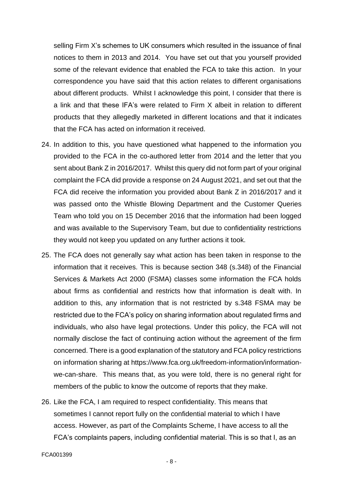selling Firm X's schemes to UK consumers which resulted in the issuance of final notices to them in 2013 and 2014. You have set out that you yourself provided some of the relevant evidence that enabled the FCA to take this action. In your correspondence you have said that this action relates to different organisations about different products. Whilst I acknowledge this point, I consider that there is a link and that these IFA's were related to Firm X albeit in relation to different products that they allegedly marketed in different locations and that it indicates that the FCA has acted on information it received.

- 24. In addition to this, you have questioned what happened to the information you provided to the FCA in the co-authored letter from 2014 and the letter that you sent about Bank Z in 2016/2017. Whilst this query did not form part of your original complaint the FCA did provide a response on 24 August 2021, and set out that the FCA did receive the information you provided about Bank Z in 2016/2017 and it was passed onto the Whistle Blowing Department and the Customer Queries Team who told you on 15 December 2016 that the information had been logged and was available to the Supervisory Team, but due to confidentiality restrictions they would not keep you updated on any further actions it took.
- 25. The FCA does not generally say what action has been taken in response to the information that it receives. This is because section 348 (s.348) of the Financial Services & Markets Act 2000 (FSMA) classes some information the FCA holds about firms as confidential and restricts how that information is dealt with. In addition to this, any information that is not restricted by s.348 FSMA may be restricted due to the FCA's policy on sharing information about regulated firms and individuals, who also have legal protections. Under this policy, the FCA will not normally disclose the fact of continuing action without the agreement of the firm concerned. There is a good explanation of the statutory and FCA policy restrictions on information sharing at https://www.fca.org.uk/freedom-information/informationwe-can-share. This means that, as you were told, there is no general right for members of the public to know the outcome of reports that they make.
- 26. Like the FCA, I am required to respect confidentiality. This means that sometimes I cannot report fully on the confidential material to which I have access. However, as part of the Complaints Scheme, I have access to all the FCA's complaints papers, including confidential material. This is so that I, as an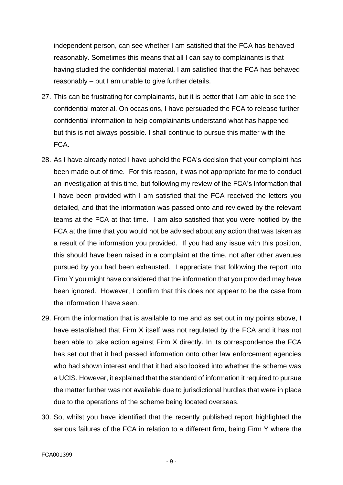independent person, can see whether I am satisfied that the FCA has behaved reasonably. Sometimes this means that all I can say to complainants is that having studied the confidential material, I am satisfied that the FCA has behaved reasonably – but I am unable to give further details.

- 27. This can be frustrating for complainants, but it is better that I am able to see the confidential material. On occasions, I have persuaded the FCA to release further confidential information to help complainants understand what has happened, but this is not always possible. I shall continue to pursue this matter with the FCA.
- 28. As I have already noted I have upheld the FCA's decision that your complaint has been made out of time. For this reason, it was not appropriate for me to conduct an investigation at this time, but following my review of the FCA's information that I have been provided with I am satisfied that the FCA received the letters you detailed, and that the information was passed onto and reviewed by the relevant teams at the FCA at that time. I am also satisfied that you were notified by the FCA at the time that you would not be advised about any action that was taken as a result of the information you provided. If you had any issue with this position, this should have been raised in a complaint at the time, not after other avenues pursued by you had been exhausted. I appreciate that following the report into Firm Y you might have considered that the information that you provided may have been ignored. However, I confirm that this does not appear to be the case from the information I have seen.
- 29. From the information that is available to me and as set out in my points above, I have established that Firm X itself was not regulated by the FCA and it has not been able to take action against Firm X directly. In its correspondence the FCA has set out that it had passed information onto other law enforcement agencies who had shown interest and that it had also looked into whether the scheme was a UCIS. However, it explained that the standard of information it required to pursue the matter further was not available due to jurisdictional hurdles that were in place due to the operations of the scheme being located overseas.
- 30. So, whilst you have identified that the recently published report highlighted the serious failures of the FCA in relation to a different firm, being Firm Y where the